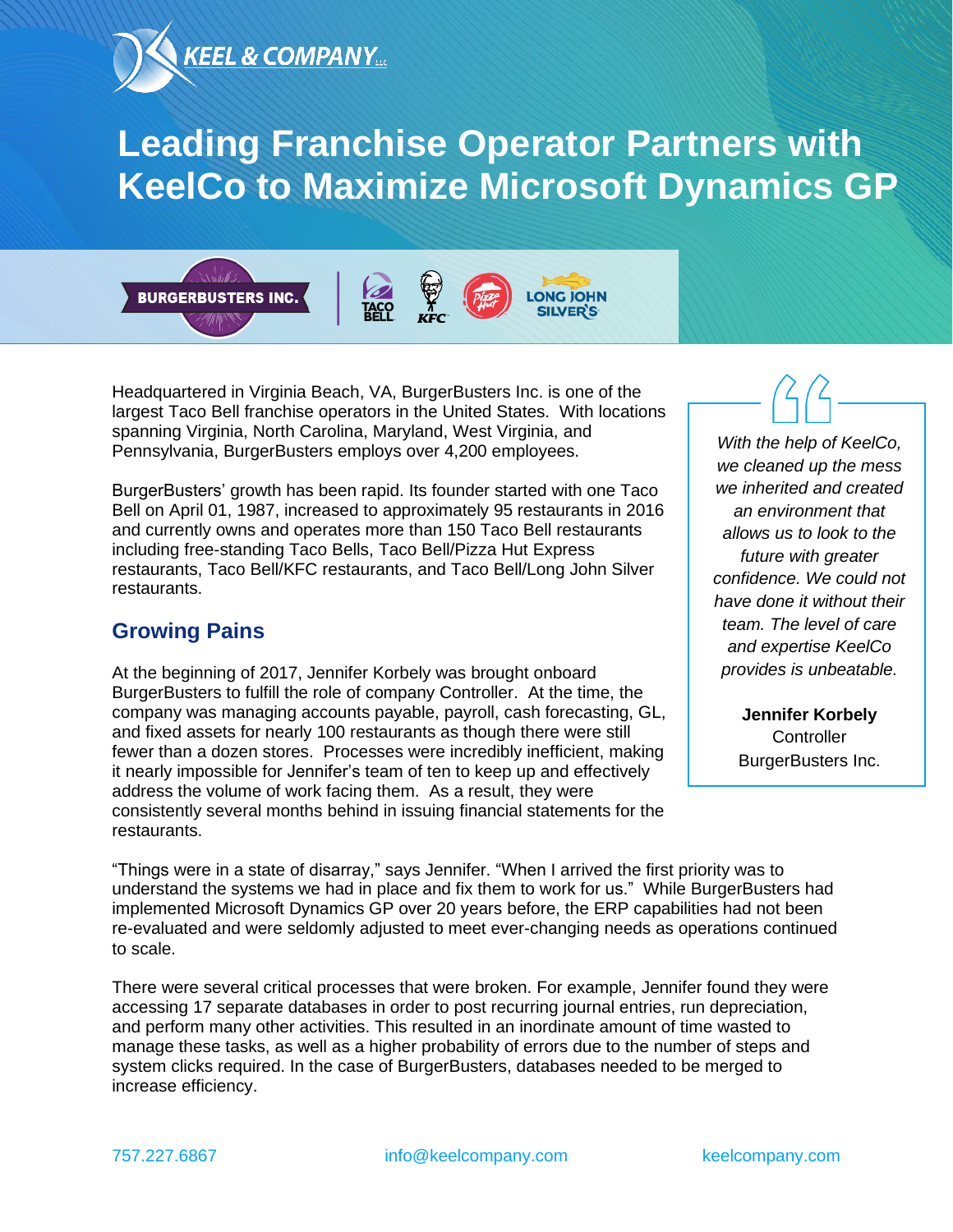

# **Leading Franchise Operator Partners with KeelCo to Maximize Microsoft Dynamics GP**







Headquartered in Virginia Beach, VA, BurgerBusters Inc. is one of the largest Taco Bell franchise operators in the United States. With locations spanning Virginia, North Carolina, Maryland, West Virginia, and Pennsylvania, BurgerBusters employs over 4,200 employees.

BurgerBusters' growth has been rapid. Its founder started with one Taco Bell on April 01, 1987, increased to approximately 95 restaurants in 2016 and currently owns and operates more than 150 Taco Bell restaurants including free-standing Taco Bells, Taco Bell/Pizza Hut Express restaurants, Taco Bell/KFC restaurants, and Taco Bell/Long John Silver restaurants.

#### **Growing Pains**

At the beginning of 2017, Jennifer Korbely was brought onboard BurgerBusters to fulfill the role of company Controller. At the time, the company was managing accounts payable, payroll, cash forecasting, GL, and fixed assets for nearly 100 restaurants as though there were still fewer than a dozen stores. Processes were incredibly inefficient, making it nearly impossible for Jennifer's team of ten to keep up and effectively address the volume of work facing them. As a result, they were consistently several months behind in issuing financial statements for the restaurants.

*With the help of KeelCo, we cleaned up the mess we inherited and created an environment that allows us to look to the future with greater confidence. We could not have done it without their team. The level of care and expertise KeelCo provides is unbeatable.*

> **Jennifer Korbely Controller** BurgerBusters Inc.

"Things were in a state of disarray," says Jennifer. "When I arrived the first priority was to understand the systems we had in place and fix them to work for us." While BurgerBusters had implemented Microsoft Dynamics GP over 20 years before, the ERP capabilities had not been re-evaluated and were seldomly adjusted to meet ever-changing needs as operations continued to scale.

There were several critical processes that were broken. For example, Jennifer found they were accessing 17 separate databases in order to post recurring journal entries, run depreciation, and perform many other activities. This resulted in an inordinate amount of time wasted to manage these tasks, as well as a higher probability of errors due to the number of steps and system clicks required. In the case of BurgerBusters, databases needed to be merged to increase efficiency.